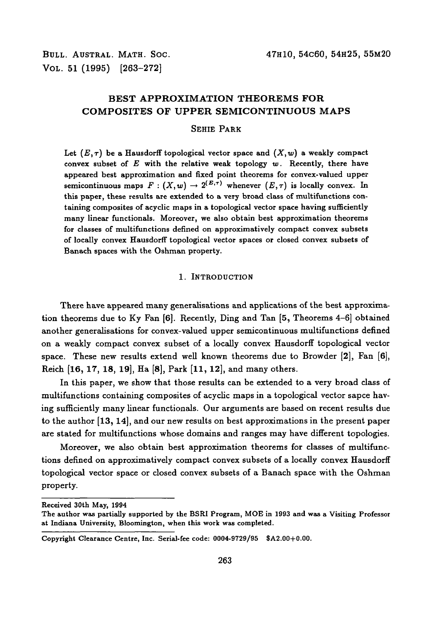VOL. 51 (1995) [263-272]

# **BEST APPROXIMATION THEOREMS FOR COMPOSITES OF UPPER SEMICONTINUOUS MAPS**

### SEHIE PARK

Let  $(E, \tau)$  be a Hausdorff topological vector space and  $(X, w)$  a weakly compact convex subset of  $E$  with the relative weak topology  $w$ . Recently, there have appeared best approximation and fixed point theorems for convex-valued upper semicontinuous maps  $F : (X, w) \to 2^{(E,\tau)}$  whenever  $(E,\tau)$  is locally convex. In this paper, these results are extended to a very broad class of multifunctions containing composites of acyclic maps in a topological vector space having sufficiently many linear functionals. Moreover, we also obtain best approximation theorems for classes of multifunctions defined on approximatively compact convex subsets of locally convex Hausdorff topological vector spaces or closed convex subsets of Banach spaces with the Oshman property.

#### 1. INTRODUCTION

There have appeared many generalisations and applications of the best approximation theorems due to Ky Fan [6]. Recently, Ding and Tan [5, Theorems 4-6] obtained another generalisations for convex-valued upper semicontinuous multifunctions defined on a weakly compact convex subset of a locally convex Hausdorff topological vector space. These new results extend well known theorems due to Browder [2], Fan [6], Reich [16, 17, 18, 19], Ha [8], Park [11, 12], and many others.

In this paper, we show that those results can be extended to a very broad class of multifunctions containing composites of acyclic maps in a topological vector sapce having sufficiently many linear functionals. Our arguments are based on recent results due to the author [13, 14], and our new results on best approximations in the present paper are stated for multifunctions whose domains and ranges may have different topologies.

Moreover, we also obtain best approximation theorems for classes of multifunctions defined on approximatively compact convex subsets of a locally convex Hausdorff topological vector space or closed convex subsets of a Banach space with the Oshman property.

**Received 30th May, 1994**

**The author was partially supported by the BSRI Program, MOE in 1993 and was a Visiting Professor at Indiana University, Bloomington, when this work was completed.**

**Copyright Clearance Centre, Inc. Serial-fee code: 0004-9729/95 \$A2.00+0.00.**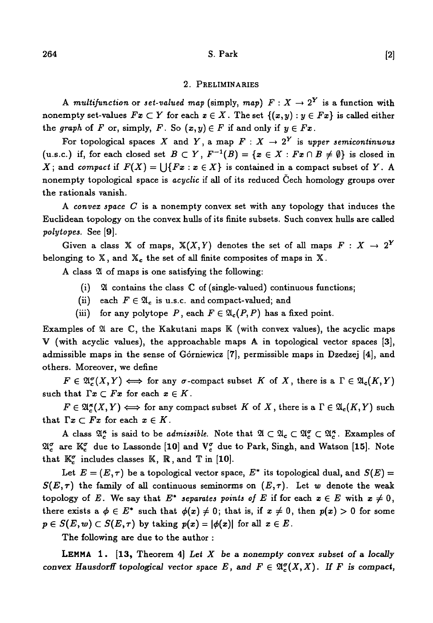## $264$  S. Park [2]

#### 2. PRELIMINARIES

A multifunction or set-valued map (simply, map)  $F: X \to 2^Y$  is a function with nonempty set-values  $Fx \subset Y$  for each  $x \in X$ . The set  $\{(x, y) : y \in Fx\}$  is called either the graph of F or, simply, F. So  $(x, y) \in F$  if and only if  $y \in Fx$ .

For topological spaces X and Y, a map  $F: X \to 2^Y$  is upper semicontinuous (u.s.c.) if, for each closed set  $B \subset Y$ ,  $F^{-1}(B) = \{x \in X : Fx \cap B \neq \emptyset\}$  is closed in *X*; and *compact* if  $F(X) = \bigcup \{Fx : x \in X\}$  is contained in a compact subset of *Y*. A nonempty topological space is *acyclic* if all of its reduced Cech homology groups over the rationals vanish.

A *convex space C* is a nonempty convex set with any topology that induces the Euclidean topology on the convex hulls of its finite subsets. Such convex hulls are called *poly topes.* See [9].

Given a class X of maps,  $X(X, Y)$  denotes the set of all maps  $F: X \to 2^Y$ belonging to  $X$ , and  $X_c$  the set of all finite composites of maps in  $X$ .

A class 21 of maps is one satisfying the following:

- (i)  $\mathfrak A$  contains the class  $\mathbb C$  of (single-valued) continuous functions;
- (ii) each  $F \in \mathfrak{A}_c$  is u.s.c. and compact-valued; and
- (iii) for any polytope P, each  $F \in \mathfrak{A}_c(P, P)$  has a fixed point.

Examples of  $\mathfrak A$  are  $\mathbb C$ , the Kakutani maps  $\mathbb K$  (with convex values), the acyclic maps V (with acyclic values), the approachable maps A in topological vector spaces [3], admissible maps in the sense of Górniewicz [7], permissible maps in Dzedzej [4], and others. Moreover, we define

 $F \in \mathfrak{A}_{c}^{\sigma}(X,Y) \Longleftrightarrow$  for any  $\sigma$ -compact subset *K* of *X*, there is a  $\Gamma \in \mathfrak{A}_{c}(K,Y)$ such that  $\Gamma x \subset Fx$  for each  $x \in K$ .

 $F \in \mathfrak{A}_{\alpha}^{\kappa}(X,Y) \Longleftrightarrow$  for any compact subset *K* of *X*, there is a  $\Gamma \in \mathfrak{A}_{\alpha}(K,Y)$  such that  $\Gamma x \subset Fx$  for each  $x \in K$ .

A class  $\mathfrak{A}_{c}^{\kappa}$  is said to be *admissible*. Note that  $\mathfrak{A} \subset \mathfrak{A}_{c} \subset \mathfrak{A}_{c}^{\sigma} \subset \mathfrak{A}_{c}^{\kappa}$ . Examples of  $\mathfrak{A}^{\sigma}_{\epsilon}$  are  $\mathbb{K}^{\sigma}_{\epsilon}$  due to Lassonde [10] and  $V^{\sigma}_{\epsilon}$  due to Park, Singh, and Watson [15]. Note that  $\mathbb{K}_{c}^{\sigma}$  includes classes  $\mathbb{K}, \mathbb{R}$ , and  $\mathbb{T}$  in [10].

Let  $E = (E, \tau)$  be a topological vector space,  $E^*$  its topological dual, and  $S(E)$  $S(E, \tau)$  the family of all continuous seminorms on  $(E, \tau)$ . Let w denote the weak topology of *E*. We say that  $E^*$  separates points of *E* if for each  $x \in E$  with  $x \neq 0$ , there exists a  $\phi \in E^*$  such that  $\phi(x) \neq 0$ ; that is, if  $x \neq 0$ , then  $p(x) > 0$  for some  $p \in S(E, w) \subset S(E, \tau)$  by taking  $p(x) = |\phi(x)|$  for all  $x \in E$ .

The following are due to the author :

LEMMA 1. [13, Theorem 4] Let *X be* a *nonempty convex subset of* a *locally convex Hausdorff topological vector space E, and*  $F \in \mathfrak{A}_{\epsilon}^{\sigma}(X,X)$ *. If F is compact,*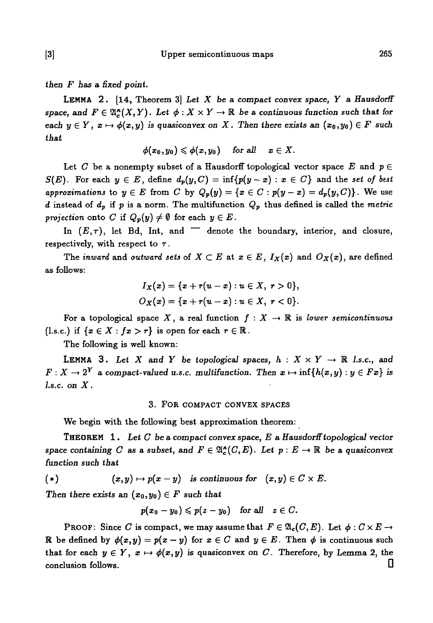*then F has* a *fixed point.*

LEMMA 2 . [14, Theorem 3] *Let X be a compact convex space, Y* a *Hausdorff* space, and  $F \in \mathfrak{A}^n_{\mathcal{I}}(X,Y)$ . Let  $\phi: X \times Y \to \mathbb{R}$  be a continuous function such that for *each*  $y \in Y$ ,  $x \mapsto \phi(x, y)$  is quasiconvex on X. Then there exists an  $(x_0, y_0) \in F$  such *that*

$$
\phi(x_0,y_0)\leqslant \phi(x,y_0)\quad \text{ for all }\quad x\in X.
$$

Let *C* be a nonempty subset of a Hausdorff topological vector space E and  $p \in$  $S(E)$ . For each  $y \in E$ , define  $d_p(y, C) = \inf \{p(y-x) : x \in C\}$  and the set of best *approximations* to  $y \in E$  from C by  $Q_p(y) = \{x \in C : p(y-x) = d_p(y, C)\}\.$  We use *d* instead of  $d_p$  if p is a norm. The multifunction  $Q_p$  thus defined is called the metric *projection* onto *C* if  $Q_p(y) \neq \emptyset$  for each  $y \in E$ .

In  $(E, \tau)$ , let Bd, Int, and  $\tau$  denote the boundary, interior, and closure, respectively, with respect to  $\tau$ .

The *inward* and *outward sets* of  $X \subset E$  at  $x \in E$ ,  $I_X(x)$  and  $O_X(x)$ , are defined as follows:

$$
I_X(x) = \{x + r(u - x) : u \in X, r > 0\},\,
$$
  

$$
O_X(x) = \{x + r(u - x) : u \in X, r < 0\}.
$$

For a topological space X, a real function  $f : X \to \mathbb{R}$  is *lower semicontinuous* (l.s.c.) if  $\{x \in X : fx > r\}$  is open for each  $r \in \mathbb{R}$ .

The following is well known:

**LEMMA** 3. Let X and Y be topological spaces,  $h : X \times Y \rightarrow \mathbb{R}$  *l.s.c.*, and  $F: X \to 2^Y$  a compact-valued u.s.c. multifunction. Then  $x \mapsto \inf\{h(x,y) : y \in Fx\}$  is *l.s.c. on X.*

#### 3. FOR COMPACT CONVEX SPACES

We begin with the following best approximation theorem:

THEOREM 1. *Let C be a compact convex space, E* a *Hausdorff topological vector space containing C as a subset, and*  $F \in \mathfrak{A}_{c}^{\kappa}(C, E)$ . Let  $p : E \to \mathbb{R}$  be a quasiconvex *function such that*

 $(*)$  $(v, y) \mapsto p(x - y)$  is continuous for  $(x, y) \in C \times E$ .

*Then there exists an*  $(x_0, y_0) \in F$  such that

$$
p(x_0-y_0)\leqslant p(z-y_0) \quad \text{for all} \quad z\in C.
$$

PROOF: Since  $C$  is compact, we may assume that  $F\in \mathfrak{A}_\mathsf{c}(C,E)$ . Let  $\phi: C\times E\to \mathsf{c}$ R be defined by  $\phi(x,y) = p(x-y)$  for  $x \in C$  and  $y \in E$ . Then  $\phi$  is continuous such that for each  $y \in Y$ ,  $x \mapsto \phi(x,y)$  is quasiconvex on C. Therefore, by Lemma 2, the conclusion follows. D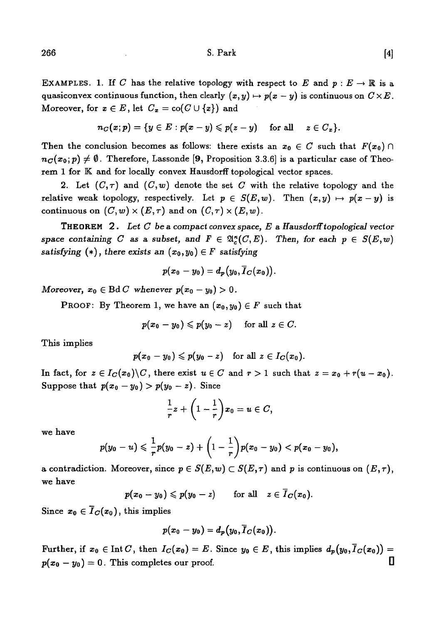EXAMPLES. 1. If C has the relative topology with respect to E and  $p : E \to \mathbb{R}$  is a quasiconvex continuous function, then clearly  $(x,y) \mapsto p(x-y)$  is continuous on  $C \times E$ . Moreover, for  $x \in E$ , let  $C_x = \text{co}(C \cup \{x\})$  and

$$
n_C(x;p)=\{y\in E: p(x-y)\leqslant p(z-y)\quad \text{ for all }\quad z\in C_x\}.
$$

Then the conclusion becomes as follows: there exists an  $x_0 \in C$  such that  $F(x_0) \cap$  $n_c(x_0; p) \neq \emptyset$ . Therefore, Lassonde [9, Proposition 3.3.6] is a particular case of Theorem 1 for K and for locally convex Hausdorff topological vector spaces.

2. Let  $(C, \tau)$  and  $(C, w)$  denote the set C with the relative topology and the relative weak topology, respectively. Let  $p \in S(E,w)$ . Then  $(x,y) \mapsto p(x-y)$  is continuous on  $(C, w) \times (E, \tau)$  and on  $(C, \tau) \times (E, w)$ .

THEOREM 2 . Let C *be a compact convex space, E a Hausdorff topological vector* space containing C as a subset, and  $F \in \mathfrak{A}_{\kappa}^{\kappa}(C, E)$ . Then, for each  $p \in S(E, w)$ *satisfying*  $(*)$ , *there exists an*  $(x_0, y_0) \in F$  *satisfying* 

$$
p(x_0-y_0)=d_p(y_0,\overline{I}_C(x_0)).
$$

*Moreover,*  $x_0 \in \text{Bd } C$  whenever  $p(x_0 - y_0) > 0$ .

**PROOF:** By Theorem 1, we have an  $(x_0, y_0) \in F$  such that

$$
p(x_0-y_0)\leqslant p(y_0-z)\quad\text{ for all }z\in C.
$$

This implies

$$
p(x_0-y_0)\leqslant p(y_0-z)\quad\text{for all}\,\, z\in I_C(x_0).
$$

In fact, for  $z \in I_C(x_0) \backslash C$ , there exist  $u \in C$  and  $r > 1$  such that  $z = x_0 + r(u - x_0)$ . Suppose that  $p(x_0 - y_0) > p(y_0 - z)$ . Since

$$
\frac{1}{r}z+\left(1-\frac{1}{r}\right)x_0=u\in C,
$$

we have

$$
p(y_0-u)\leqslant \frac{1}{r}p(y_0-z)+\left(1-\frac{1}{r}\right)p(x_0-y_0)
$$

a contradiction. Moreover, since  $p \in S(E,w) \subset S(E,\tau)$  and p is continuous on  $(E,\tau)$ , we have

$$
p(x_0-y_0) \leq p(y_0-z)
$$
 for all  $z \in \overline{I}_C(x_0)$ .

Since  $x_0 \in \overline{I}_C(x_0)$ , this implies

$$
p(x_0-y_0)=d_p(y_0,\overline{I}_C(x_0)).
$$

Further, if  $x_0 \in \text{Int } C$ , then  $I_C(x_0) = E$ . Since  $y_0 \in E$ , this implies  $d_p(y_0, \overline{I}_C(x_0)) =$  $p(x_0 - y_0) = 0$ . This completes our proof.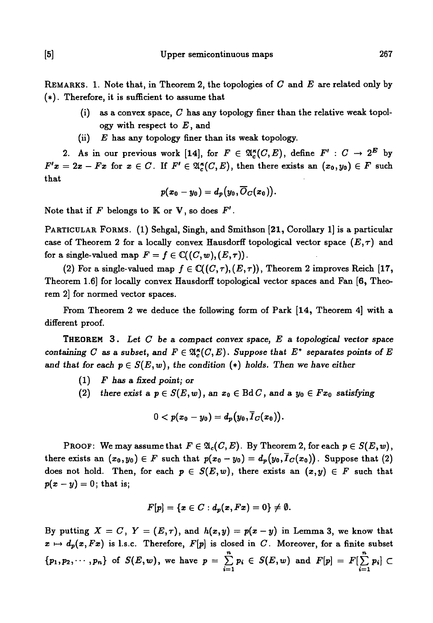REMARKS. 1. Note that, in Theorem 2, the topologies of C and *E* are related only by (\*). Therefore, it is sufficient to assume that

- (i) as a convex space, *C* has any topology finer than the relative weak topology with respect to *E*, and
- (ii) *E* has any topology finer than its weak topology.

2. As in our previous work [14], for  $F \in \mathfrak{A}_c^{\kappa}(C, E)$ , define  $F' : C \to 2^E$  by  $F'x = 2x - Fx$  for  $x \in C$ . If  $F' \in \mathfrak{A}_{c}^{*}(C, E)$ , then there exists an  $(x_0, y_0) \in F$  such that

$$
p(x_0-y_0)=d_p(y_0,\overline{O}_C(x_0)).
$$

Note that if  $F$  belongs to  $K$  or  $V$ , so does  $F'$ .

PARTICULAR FORMS. (1) Sehgal, Singh, and Smithson [21, Corollary 1] is a particular case of Theorem 2 for a locally convex Hausdorff topological vector space  $(E, \tau)$  and for a single-valued map  $F = f \in \mathbb{C}((C, w), (E, \tau))$ .

(2) For a single-valued map  $f \in \mathbb{C}((C,\tau),(E,\tau))$ , Theorem 2 improves Reich [17, Theorem 1.6] for locally convex Hausdorff topological vector spaces and Fan [6, Theorem 2] for normed vector spaces.

From Theorem 2 we deduce the following form of Park [14, Theorem 4] with a different proof.

THEOREM 3 . *Let C be* a *compact convex space, E a topological vector space containing C as a subset, and*  $F \in \mathfrak{A}_{c}^{k}(C, E)$ *. Suppose that*  $E^*$  separates points of E and that for each  $p \in S(E, w)$ , the condition (\*) holds. Then we have either

- $(1)$  F has a fixed point; or
- (2) there exist a  $p \in S(E, w)$ , an  $x_0 \in \text{Bd } C$ , and a  $y_0 \in Fx_0$  satisfying

$$
0 < p(x_0 - y_0) = d_p(y_0, \overline{I}_C(x_0)).
$$

PROOF: We may assume that  $F \in \mathfrak{A}_c(C, E)$ . By Theorem 2, for each  $p \in S(E, w)$ , there exists an  $(x_0, y_0) \in F$  such that  $p(x_0 - y_0) = d_p(y_0, \overline{I}_C(x_0))$ . Suppose that (2) does not hold. Then, for each  $p \in S(E,w)$ , there exists an  $(x,y) \in F$  such that  $p(x - y) = 0$ ; that is;

$$
F[p]=\{x\in C:d_p(x,Fx)=0\}\neq\emptyset.
$$

By putting  $X = C$ ,  $Y = (E, \tau)$ , and  $h(x, y) = p(x - y)$  in Lemma 3, we know that  $x \mapsto d_p(x, Fx)$  is l.s.c. Therefore,  $F[p]$  is closed in *C*. Moreover, for a finite subset  ${p_1, p_2, \cdots, p_n}$  of  $S(E, w)$ , we have  $p = \sum p_i \in S(E, w)$  and  $F[p] =$ *i*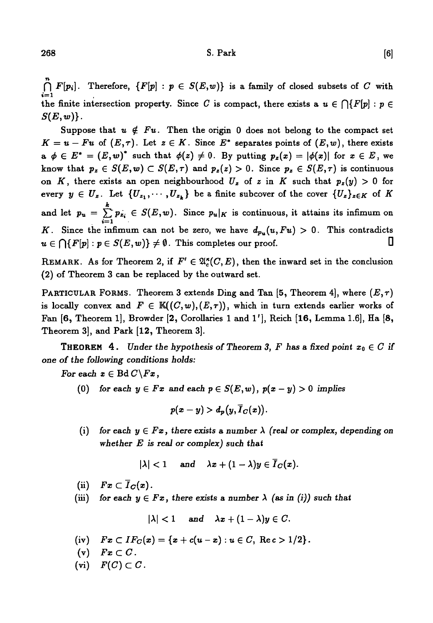$\bigcap_{i=1}^{n} F[p_i]$ . Therefore,  $\{F[p] : p \in S(E,w)\}$  is a family of closed subsets of *C* with the finite intersection property. Since C is compact, there exists a  $u \in \bigcap \{F[p] : p \in$  $S(E,w)$ .

Suppose that  $u \notin Fu$ . Then the origin 0 does not belong to the compact set  $K = u - Fu$  of  $(E, \tau)$ . Let  $z \in K$ . Since  $E^*$  separates points of  $(E, w)$ , there exists  $a \phi \in E^* = (E, w)^*$  such that  $\phi(z) \neq 0$ . By putting  $p_z(x) = |\phi(x)|$  for  $x \in E$ , we know that  $p_z \in S(E, w) \subset S(E, \tau)$  and  $p_z(z) > 0$ . Since  $p_z \in S(E, \tau)$  is continuous on K, there exists an open neighbourhood  $U_z$  of z in K such that  $p_z(y) > 0$  for every  $y \in U_z$ . Let  $\{U_{z_1}, \cdots, U_{z_k}\}$  be a finite subcover of the cover  $\{U_z\}_{z \in K}$  of K and let  $p_u = \sum_{i=1}^k p_{z_i} \in S(E,w)$ . Since  $p_u|_K$  is continuous, it attains its infimum on *K*. Since the infimum can not be zero, we have  $d_{p_u}(u, Fu) > 0$ . This contradicts  $u \in \bigcap \{F[p] : p \in S(E,w)\} \neq \emptyset$ . This completes our proof.  $\square$ 

REMARK. As for Theorem 2, if  $F' \in \mathfrak{A}_{\epsilon}^*(C, E)$ , then the inward set in the conclusion (2) of Theorem 3 can be replaced by the outward set.

PARTICULAR FORMS. Theorem 3 extends Ding and Tan [5, Theorem 4], where *{E,r)* is locally convex and  $F \in K((C, w), (E, \tau))$ , which in turn extends earlier works of Fan [6, Theorem 1], Browder [2, Corollaries 1 and 1'], Reich [16, Lemma 1.6], Ha [8, Theorem 3], and Park [12, Theorem 3].

**THEOREM** 4. Under the hypothesis of Theorem 3, F has a fixed point  $x_0 \in C$  if *one of the following conditions holds:*

*For each*  $x \in \text{Bd } C \backslash F_x$ ,

(0) for each  $y \in Fx$  and each  $p \in S(E, w)$ ,  $p(x - y) > 0$  implies

 $p(x-y) > d_p(y, \overline{I}_C(x)).$ 

(i) for each  $y \in Fx$ , there exists a number  $\lambda$  (real or complex, depending on *whether E is real or complex) such that*

 $|\lambda| < 1$  and  $\lambda x + (1 - \lambda)y \in \overline{I}_C(x)$ .

(ii)  $Fx \subset \overline{I}_C(x)$ .

(iii) for each  $y \in Fx$ , there exists a number  $\lambda$  (as in (i)) such that

 $|\lambda| < 1$  and  $\lambda x + (1 - \lambda)y \in C$ .

- (iv)  $Fx \subset IF_C(x) = \{x + c(u-x) : u \in C, \text{ Re } c > 1/2\}.$
- (v)  $Fx\subset C$ .
- $(vi)$   $F(C) \subset C$ .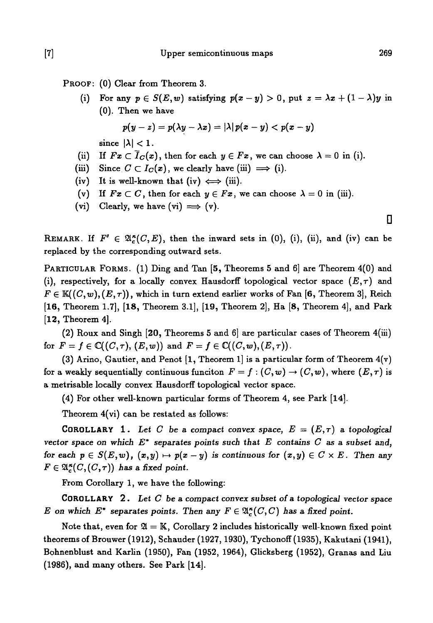PROOF: (0) Clear from Theorem 3.

(i) For any  $p \in S(E, w)$  satisfying  $p(x - y) > 0$ , put  $z = \lambda x + (1 - \lambda)y$  in (0). Then we have

$$
p(y-z)=p(\lambda y-\lambda x)=|\lambda|p(x-y)
$$

since  $|\lambda| < 1$ .

- (ii) If  $Fx \subset \overline{I}_C(x)$ , then for each  $y \in Fx$ , we can choose  $\lambda = 0$  in (i).
- (iii) Since  $C \subset I_C(x)$ , we clearly have (iii)  $\implies$  (i).
- (iv) It is well-known that (iv)  $\iff$  (iii).
- (v) If  $Fx \subset C$ , then for each  $y \in Fx$ , we can choose  $\lambda = 0$  in (iii).
- (vi) Clearly, we have  $(vi) \implies (v)$ .

REMARK. If  $F' \in \mathfrak{A}_{\sigma}^{\kappa}(C, E)$ , then the inward sets in (0), (i), (ii), and (iv) can be replaced by the corresponding outward sets.

PARTICULAR FORMS. (1) Ding and Tan [5, Theorems 5 and 6] are Theorem 4(0) and (i), respectively, for a locally convex Hausdorff topological vector space  $(E, \tau)$  and  $F \in K((C, w), (E, \tau))$ , which in turn extend earlier works of Fan [6, Theorem 3], Reich [16, Theorem 1.7], [18, Theorem 3.1], [19, Theorem 2], Ha [8, Theorem 4], and Park [12, Theorem 4].

(2) Roux and Singh [20, Theorems 5 and 6] are particular cases of Theorem 4(iii) for  $F = f \in \mathbb{C}((C,\tau), (E,w))$  and  $F = f \in \mathbb{C}((C,w), (E,\tau))$ .

(3) Arino, Gautier, and Penot  $[1,$  Theorem 1 is a particular form of Theorem  $4(v)$ for a weakly sequentially continuous funciton  $F = f : (C, w) \to (C, w)$ , where  $(E, \tau)$  is a metrisable locally convex Hausdorff topological vector space.

(4) For other well-known particular forms of Theorem 4, see Park [14].

Theorem 4(vi) can be restated as follows:

**COROLLARY** 1. Let C be a compact convex space,  $E = (E, \tau)$  a topological *vector space on which E\** separates *points such that E contains C as a subset and, for each*  $p \in S(E, w)$ *,*  $(x, y) \mapsto p(x - y)$  *is continuous for*  $(x, y) \in C \times E$ . Then any  $F \in \mathfrak{A}_{\epsilon}^{\kappa}(C, (C, \tau))$  has a fixed point.

From Corollary 1, we have the following:

COROLLARY 2 . *Let C be a compact convex subset of a topological vector space E* on which  $E^*$  separates points. Then any  $F \in \mathfrak{A}^{\kappa}_c(C, C)$  has a fixed point.

Note that, even for  $\mathfrak{A} = \mathbb{K}$ , Corollary 2 includes historically well-known fixed point theorems of Brouwer (1912), Schauder (1927,1930), Tychonoff (1935), Kakutani (1941), Bohnenblust and Karlin (1950), Fan (1952, 1964), Glicksberg (1952), Granas and Liu (1986), and many others. See Park [14].

**D**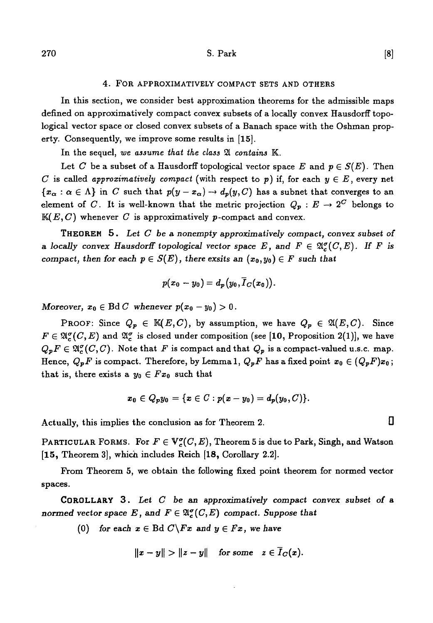#### 4. FOR APPROXIMATIVELY COMPACT SETS AND OTHERS

In this section, we consider best approximation theorems for the admissible maps defined on approximatively compact convex subsets of a locally convex Hausdorff topological vector space or closed convex subsets of a Banach space with the Oshman property. Consequently, we improve some results in [15].

In the sequel, *we assume that the class* 21 *contains* K.

Let *C* be a subset of a Hausdorff topological vector space *E* and  $p \in S(E)$ . Then *C* is called *approximatively compact* (with respect to  $p$ ) if, for each  $y \in E$ , every net  ${x<sub>\alpha</sub> : \alpha \in \Lambda}$  in *C* such that  $p(y-x_{\alpha}) \to d_p(y, C)$  has a subnet that converges to an element of C. It is well-known that the metric projection  $Q_p: E \to 2^C$  belongs to *K(E,C)* whenever *C* is approximatively p-compact and convex.

THEOREM 5 . Let *C be* a *nonempty approximatively compact, convex subset of* a locally convex Hausdorff topological vector space E, and  $F \in \mathfrak{A}^{\sigma}_{\epsilon}(C, E)$ . If F is *compact, then for each*  $p \in S(E)$ *, there exsits an*  $(x_0, y_0) \in F$  such that

$$
p(x_0-y_0)=d_p(y_0,\overline{I}_C(x_0)).
$$

*Moreover,*  $x_0 \in \text{Bd } C$  whenever  $p(x_0 - y_0) > 0$ .

PROOF: Since  $Q_p \in \mathbb{K}(E,C)$ , by assumption, we have  $Q_p \in \mathfrak{A}(E,C)$ . Since  $F \in \mathfrak{A}_{c}^{\sigma}(C, E)$  and  $\mathfrak{A}_{c}^{\sigma}$  is closed under composition (see [10, Proposition 2(1)], we have  $Q_pF \in \mathfrak{A}_{\epsilon}^{\sigma}(C, C)$ . Note that *F* is compact and that  $Q_p$  is a compact-valued u.s.c. map. Hence,  $Q_{\bm{p}}F$  is compact. Therefore, by Lemma 1,  $Q_{\bm{p}}F$  has a fixed point  $x_0 \in (Q_{\bm{p}}F)x_0$ ; that is, there exists a  $y_0 \in Fx_0$  such that

$$
x_0\in Q_p y_0=\{x\in C: p(x-y_0)=d_p(y_0,C)\}.
$$

Actually, this implies the conclusion as for Theorem 2.  $\Box$ 

PARTICULAR FORMS. For  $F \in V_c^{\sigma}(C, E)$ , Theorem 5 is due to Park, Singh, and Watson **[15,** Theorem 3], which includes Reich [18, Corollary 2.2].

From Theorem 5, we obtain the following fixed point theorem for normed vector spaces.

COROLLARY 3 . *Let C be an approximatively compact convex subset of a normed vector space* E, and  $F \in \mathfrak{A}^{\sigma}_c(C, E)$  compact. Suppose that

(0) for each  $x \in \text{Bd } C \backslash Fx$  and  $y \in Fx$ , we have

$$
||x-y|| > ||z-y|| \quad \text{for some} \quad z \in \overline{I}_C(x).
$$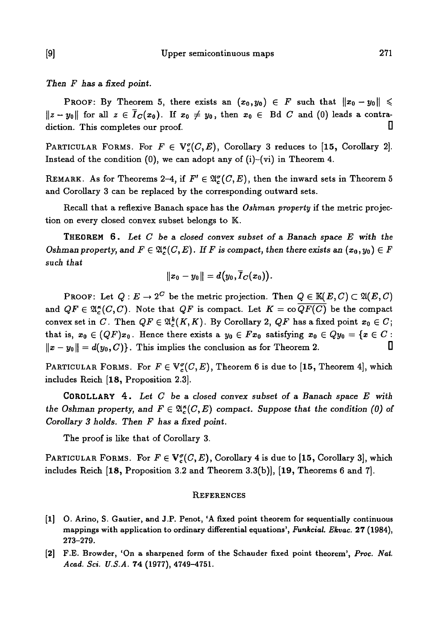*Then F has* a *fixed point.*

PROOF: By Theorem 5, there exists an  $(x_0, y_0) \in F$  such that  $||x_0 - y_0|| \leq$  $\|z - y_0\|$  for all  $z \in \overline{I}_C(x_0)$ . If  $x_0 \neq y_0$ , then  $x_0 \in$  Bd C and (0) leads a contradiction. This completes our proof.  $\Box$ 

PARTICULAR FORMS. For  $F \in V^{\sigma}(C, E)$ , Corollary 3 reduces to [15, Corollary 2]. Instead of the condition  $(0)$ , we can adopt any of  $(i)$ - $(vi)$  in Theorem 4.

REMARK. As for Theorems 2-4, if  $F' \in \mathfrak{A}^{\sigma}_{\epsilon}(C, E)$ , then the inward sets in Theorem 5 and Corollary 3 can be replaced by the corresponding outward sets.

Recall that a reflexive Banach space has the *Oshman property* if the metric projection on every closed convex subset belongs to K.

THEOREM 6 . *Let G be* a *closed convex subset of* a *Banach space E with the Oshman property, and*  $F \in \mathfrak{A}_{\kappa}^{\kappa}(C, E)$ *. If F is compact, then there exists an*  $(x_0, y_0) \in F$ *such that*

$$
||x_0-y_0||=d(y_0,\overline{I}_C(x_0)).
$$

 $\text{PROOF: Let } Q: E \to 2^C \text{ be the metric projection. Then } Q \in \mathbb{K}(E,C) \subset \mathfrak{A}(E,C)$ and  $QF \in \mathfrak{A}_{\alpha}^{\kappa}(C, C)$ . Note that  $QF$  is compact. Let  $K = \text{co } \overline{QF(C)}$  be the compact convex set in C. Then  $QF \in \mathfrak{A}_c^k(K,K)$ . By Corollary 2,  $QF$  has a fixed point  $x_0 \in C$ ; that is,  $x_0 \in (QF)x_0$ . Hence there exists a  $y_0 \in Fx_0$  satisfying  $x_0 \in Qy_0 = \{x \in C :$  $\|x-y_0\|=d(y_0,C)\}$ . This implies the conclusion as for Theorem 2.  $\hskip10mm\Box$ 

PARTICULAR FORMS. For  $F \in V_c^{\sigma}(C, E)$ , Theorem 6 is due to [15, Theorem 4], which includes Reich [18, Proposition 2.3].

COROLLARY 4 . *Let C be a closed convex subset of a Banach space E with the Oshman property, and*  $F \in \mathfrak{A}_{\kappa}^{\kappa}(C, E)$  *compact. Suppose that the condition (0) of Corollary 3 holds. Then F has* a *fixed point.*

The proof is like that of Corollary 3.

PARTICULAR FORMS. For  $F \in V_c^{\sigma}(\mathcal{C}, E)$ , Corollary 4 is due to [15, Corollary 3], which includes Reich [18, Proposition 3.2 and Theorem 3.3(b)], [19, Theorems 6 and 7].

#### **REFERENCES**

- [l] O. Arino, S. Gautier, and J.P. Penot, 'A fixed point theorem for sequentially continuous mappings with application to ordinary differential equations', *Funkcial. Ekvac.* 27 (1984), 273-279.
- [2] F.E. Browder, 'On a sharpened form of the Schauder fixed point theorem', *Proc. Nat. Acad. Sci. U.S.A.* 74 (1977), 4749-4751.